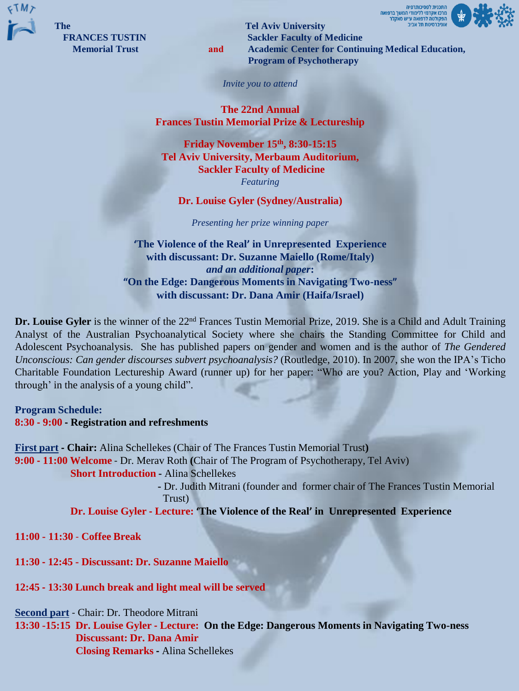

**The Tel Aviv University FRANCES TUSTIN** Sackler **Faculty of Medicine Memorial Trust and Academic Center for Continuing Medical Education, Program of Psychotherapy**

מרכז אקדמי ללימודי המשך ברפואה

*Invite you to attend*

**The 22nd Annual Frances Tustin Memorial Prize & Lectureship**

**Friday November 15th , 8:30-15:15 Tel Aviv University, Merbaum Auditorium, Sackler Faculty of Medicine** *Featuring*

## **Dr. Louise Gyler (Sydney/Australia)**

*Presenting her prize winning paper*

**'The Violence of the Real' in Unrepresented Experience with discussant: Dr. Suzanne Maiello (Rome/Italy)** *and an additional paper***: "On the Edge: Dangerous Moments in Navigating Two-ness" with discussant: Dr. Dana Amir (Haifa/Israel)**

**Dr. Louise Gyler** is the winner of the 22nd Frances Tustin Memorial Prize, 2019. She is a Child and Adult Training Analyst of the Australian Psychoanalytical Society where she chairs the Standing Committee for Child and Adolescent Psychoanalysis. She has published papers on gender and women and is the author of *The Gendered Unconscious: Can gender discourses subvert psychoanalysis?* (Routledge, 2010). In 2007, she won the IPA's Ticho Charitable Foundation Lectureship Award (runner up) for her paper: "Who are you? Action, Play and 'Working through' in the analysis of a young child".

**Program Schedule: 8:30 - 9:00 - Registration and refreshments**

**First part - Chair:** Alina Schellekes (Chair of The Frances Tustin Memorial Trust**) 9:00 - 11:00 Welcome** - Dr. Merav Roth **(**Chair of The Program of Psychotherapy, Tel Aviv) **Short Introduction -** Alina Schellekes

**-** Dr. Judith Mitrani (founder and former chair of The Frances Tustin Memorial Trust)

**Dr. Louise Gyler - Lecture: 'The Violence of the Real' in Unrepresented Experience**

**11:00 - 11:30** - **Coffee Break**

**11:30 - 12:45 - Discussant: Dr. Suzanne Maiello**

**12:45 - 13:30 Lunch break and light meal will be served**

**Second part** - Chair: Dr. Theodore Mitrani

**13:30 -15:15 Dr. Louise Gyler - Lecture: On the Edge: Dangerous Moments in Navigating Two-ness Discussant: Dr. Dana Amir Closing Remarks -** Alina Schellekes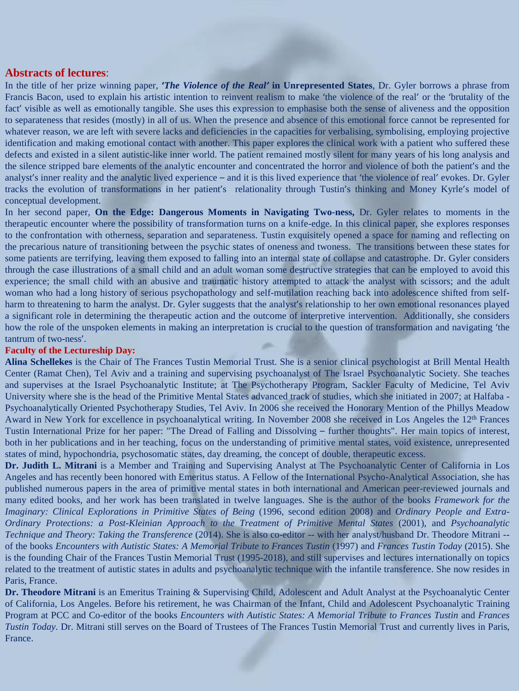## **Abstracts of lectures**:

In the title of her prize winning paper, **'***The Violence of the Real'* **in Unrepresented States**, Dr. Gyler borrows a phrase from Francis Bacon, used to explain his artistic intention to reinvent realism to make 'the violence of the real' or the 'brutality of the fact' visible as well as emotionally tangible. She uses this expression to emphasise both the sense of aliveness and the opposition to separateness that resides (mostly) in all of us. When the presence and absence of this emotional force cannot be represented for whatever reason, we are left with severe lacks and deficiencies in the capacities for verbalising, symbolising, employing projective identification and making emotional contact with another. This paper explores the clinical work with a patient who suffered these defects and existed in a silent autistic-like inner world. The patient remained mostly silent for many years of his long analysis and the silence stripped bare elements of the analytic encounter and concentrated the horror and violence of both the patient's and the analyst's inner reality and the analytic lived experience – and it is this lived experience that 'the violence of real' evokes. Dr. Gyler tracks the evolution of transformations in her patient's relationality through Tustin's thinking and Money Kyrle's model of conceptual development.

In her second paper, **On the Edge: Dangerous Moments in Navigating Two-ness,** Dr. Gyler relates to moments in the therapeutic encounter where the possibility of transformation turns on a knife-edge. In this clinical paper, she explores responses to the confrontation with otherness, separation and separateness. Tustin exquisitely opened a space for naming and reflecting on the precarious nature of transitioning between the psychic states of oneness and twoness. The transitions between these states for some patients are terrifying, leaving them exposed to falling into an internal state of collapse and catastrophe. Dr. Gyler considers through the case illustrations of a small child and an adult woman some destructive strategies that can be employed to avoid this experience; the small child with an abusive and traumatic history attempted to attack the analyst with scissors; and the adult woman who had a long history of serious psychopathology and self-mutilation reaching back into adolescence shifted from selfharm to threatening to harm the analyst. Dr. Gyler suggests that the analyst's relationship to her own emotional resonances played a significant role in determining the therapeutic action and the outcome of interpretive intervention. Additionally, she considers how the role of the unspoken elements in making an interpretation is crucial to the question of transformation and navigating 'the tantrum of two-ness'.

## **Faculty of the Lectureship Day:**

**Alina Schellekes** is the Chair of The Frances Tustin Memorial Trust. She is a senior clinical psychologist at Brill Mental Health Center (Ramat Chen), Tel Aviv and a training and supervising psychoanalyst of The Israel Psychoanalytic Society. She teaches and supervises at the Israel Psychoanalytic Institute; at The Psychotherapy Program, Sackler Faculty of Medicine, Tel Aviv University where she is the head of the Primitive Mental States advanced track of studies, which she initiated in 2007; at Halfaba - Psychoanalytically Oriented Psychotherapy Studies, Tel Aviv. In 2006 she received the Honorary Mention of the Phillys Meadow Award in New York for excellence in psychoanalytical writing. In November 2008 she received in Los Angeles the 12<sup>th</sup> Frances Tustin International Prize for her paper: "The Dread of Falling and Dissolving – further thoughts". Her main topics of interest, both in her publications and in her teaching, focus on the understanding of primitive mental states, void existence, unrepresented states of mind, hypochondria, psychosomatic states, day dreaming, the concept of double, therapeutic excess.

**Dr. Judith L. Mitrani** is a Member and Training and Supervising Analyst at The Psychoanalytic Center of California in Los Angeles and has recently been honored with Emeritus status. A Fellow of the International Psycho-Analytical Association, she has published numerous papers in the area of primitive mental states in both international and American peer-reviewed journals and many edited books, and her work has been translated in twelve languages. She is the author of the books *Framework for the Imaginary: Clinical Explorations in Primitive States of Being* (1996, second edition 2008) and *Ordinary People and Extra-Ordinary Protections: a Post-Kleinian Approach to the Treatment of Primitive Mental States* (2001), and *Psychoanalytic Technique and Theory: Taking the Transference* (2014). She is also co-editor -- with her analyst/husband Dr. Theodore Mitrani - of the books *Encounters with Autistic States: A Memorial Tribute to Frances Tustin* (1997) and *Frances Tustin Today* (2015). She is the founding Chair of the Frances Tustin Memorial Trust (1995-2018), and still supervises and lectures internationally on topics related to the treatment of autistic states in adults and psychoanalytic technique with the infantile transference. She now resides in Paris, France.

**Dr. Theodore Mitrani** is an Emeritus Training & Supervising Child, Adolescent and Adult Analyst at the Psychoanalytic Center of California, Los Angeles. Before his retirement, he was Chairman of the Infant, Child and Adolescent Psychoanalytic Training Program at PCC and Co-editor of the books *Encounters with Autistic States: A Memorial Tribute to Frances Tustin* and *Frances Tustin Today.* Dr. Mitrani still serves on the Board of Trustees of The Frances Tustin Memorial Trust and currently lives in Paris, France.